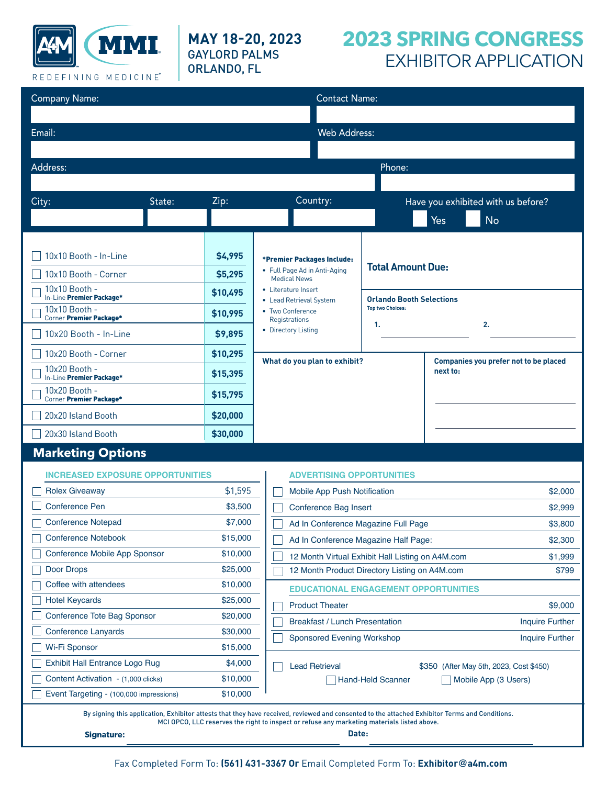

### **MAY 18-20, 2023** GAYLORD PALMS

ORLANDO, FL

## **2023 SPRING CONGRESS** EXHIBITOR APPLICATION

| <b>Company Name:</b>                                                                                                                                                                                                                          | <b>Contact Name:</b>                                                    |                                                                  |                                 |            |                                              |  |
|-----------------------------------------------------------------------------------------------------------------------------------------------------------------------------------------------------------------------------------------------|-------------------------------------------------------------------------|------------------------------------------------------------------|---------------------------------|------------|----------------------------------------------|--|
|                                                                                                                                                                                                                                               |                                                                         |                                                                  |                                 |            |                                              |  |
| Email:                                                                                                                                                                                                                                        |                                                                         | Web Address:                                                     |                                 |            |                                              |  |
|                                                                                                                                                                                                                                               |                                                                         |                                                                  |                                 |            |                                              |  |
| Address:                                                                                                                                                                                                                                      | Phone:                                                                  |                                                                  |                                 |            |                                              |  |
|                                                                                                                                                                                                                                               |                                                                         |                                                                  |                                 |            |                                              |  |
| City:<br>State:                                                                                                                                                                                                                               | Zip:                                                                    | Country:                                                         |                                 |            | Have you exhibited with us before?           |  |
|                                                                                                                                                                                                                                               |                                                                         |                                                                  |                                 | <b>Yes</b> | <b>No</b>                                    |  |
|                                                                                                                                                                                                                                               |                                                                         |                                                                  |                                 |            |                                              |  |
| 10x10 Booth - In-Line                                                                                                                                                                                                                         | \$4,995                                                                 | *Premier Packages Include:                                       |                                 |            |                                              |  |
| 10x10 Booth - Corner                                                                                                                                                                                                                          | \$5,295                                                                 | • Full Page Ad in Anti-Aging<br><b>Medical News</b>              | <b>Total Amount Due:</b>        |            |                                              |  |
| 10x10 Booth -<br>In-Line Premier Package*                                                                                                                                                                                                     | \$10,495                                                                | • Literature Insert<br>• Lead Retrieval System                   | <b>Orlando Booth Selections</b> |            |                                              |  |
| 10x10 Booth -<br>Corner Premier Package*                                                                                                                                                                                                      | \$10,995                                                                | • Two Conference                                                 | <b>Top two Choices:</b>         |            |                                              |  |
| 10x20 Booth - In-Line                                                                                                                                                                                                                         | \$9,895                                                                 | Registrations<br>• Directory Listing                             | 1.                              |            | 2.                                           |  |
| 10x20 Booth - Corner                                                                                                                                                                                                                          | \$10,295                                                                |                                                                  |                                 |            |                                              |  |
| 10x20 Booth -                                                                                                                                                                                                                                 | \$15,395                                                                | What do you plan to exhibit?                                     |                                 | next to:   | <b>Companies you prefer not to be placed</b> |  |
| In-Line Premier Package*<br>10x20 Booth -                                                                                                                                                                                                     |                                                                         |                                                                  |                                 |            |                                              |  |
| Corner Premier Package*                                                                                                                                                                                                                       | \$15,795                                                                |                                                                  |                                 |            |                                              |  |
| 20x20 Island Booth                                                                                                                                                                                                                            | \$20,000                                                                |                                                                  |                                 |            |                                              |  |
| 20x30 Island Booth                                                                                                                                                                                                                            | \$30,000                                                                |                                                                  |                                 |            |                                              |  |
| <b>Marketing Options</b>                                                                                                                                                                                                                      |                                                                         |                                                                  |                                 |            |                                              |  |
| <b>INCREASED EXPOSURE OPPORTUNITIES</b>                                                                                                                                                                                                       |                                                                         | <b>ADVERTISING OPPORTUNITIES</b>                                 |                                 |            |                                              |  |
| <b>Rolex Giveaway</b>                                                                                                                                                                                                                         | \$1,595                                                                 | Mobile App Push Notification<br>\$2,000                          |                                 |            |                                              |  |
| <b>Conference Pen</b>                                                                                                                                                                                                                         | \$3,500                                                                 | Conference Bag Insert<br>\$2,999                                 |                                 |            |                                              |  |
| <b>Conference Notepad</b>                                                                                                                                                                                                                     | \$7,000                                                                 | Ad In Conference Magazine Full Page<br>\$3,800                   |                                 |            |                                              |  |
| <b>Conference Notebook</b>                                                                                                                                                                                                                    | \$15,000                                                                | Ad In Conference Magazine Half Page:<br>\$2,300                  |                                 |            |                                              |  |
| Conference Mobile App Sponsor                                                                                                                                                                                                                 | \$10,000<br>12 Month Virtual Exhibit Hall Listing on A4M.com<br>\$1,999 |                                                                  |                                 |            |                                              |  |
| Door Drops<br>\$25,000<br>12 Month Product Directory Listing on A4M.com                                                                                                                                                                       |                                                                         |                                                                  |                                 | \$799      |                                              |  |
| Coffee with attendees                                                                                                                                                                                                                         | \$10,000                                                                | <b>EDUCATIONAL ENGAGEMENT OPPORTUNITIES</b>                      |                                 |            |                                              |  |
| <b>Hotel Keycards</b>                                                                                                                                                                                                                         | \$25,000                                                                | <b>Product Theater</b><br>\$9,000                                |                                 |            |                                              |  |
| Conference Tote Bag Sponsor                                                                                                                                                                                                                   | \$20,000                                                                | <b>Breakfast / Lunch Presentation</b><br><b>Inquire Further</b>  |                                 |            |                                              |  |
| Conference Lanyards                                                                                                                                                                                                                           | \$30,000                                                                | Sponsored Evening Workshop<br><b>Inquire Further</b>             |                                 |            |                                              |  |
| Wi-Fi Sponsor                                                                                                                                                                                                                                 | \$15,000                                                                |                                                                  |                                 |            |                                              |  |
| Exhibit Hall Entrance Logo Rug                                                                                                                                                                                                                | \$4,000                                                                 | <b>Lead Retrieval</b><br>\$350 (After May 5th, 2023, Cost \$450) |                                 |            |                                              |  |
| Content Activation - (1,000 clicks)                                                                                                                                                                                                           | \$10,000                                                                | <b>Hand-Held Scanner</b><br>Mobile App (3 Users)                 |                                 |            |                                              |  |
| Event Targeting - (100,000 impressions)                                                                                                                                                                                                       | \$10,000                                                                |                                                                  |                                 |            |                                              |  |
| By signing this application, Exhibitor attests that they have received, reviewed and consented to the attached Exhibitor Terms and Conditions.<br>MCI OPCO, LLC reserves the right to inspect or refuse any marketing materials listed above. |                                                                         |                                                                  |                                 |            |                                              |  |
| Date:<br><b>Signature:</b>                                                                                                                                                                                                                    |                                                                         |                                                                  |                                 |            |                                              |  |
|                                                                                                                                                                                                                                               |                                                                         |                                                                  |                                 |            |                                              |  |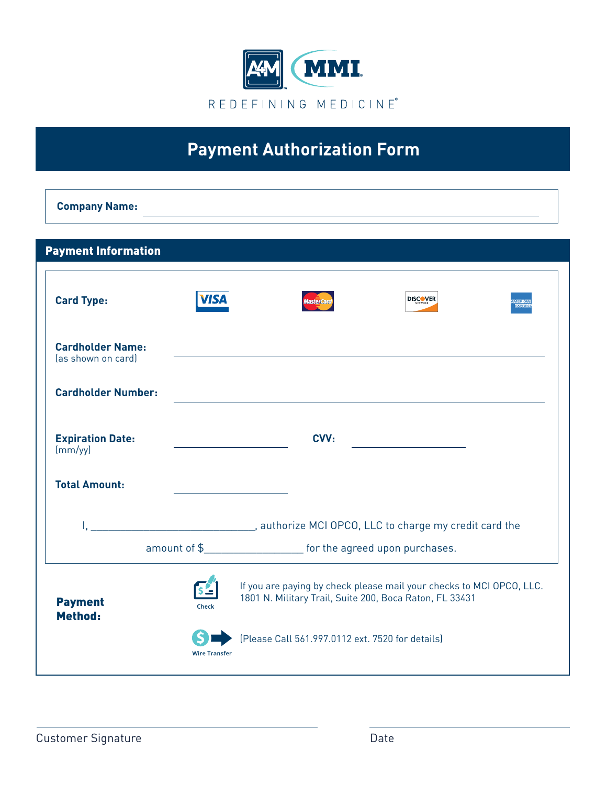

# **Payment Authorization Form**

| <b>Company Name:</b>                                    |                                                                                                                                          |
|---------------------------------------------------------|------------------------------------------------------------------------------------------------------------------------------------------|
| <b>Payment Information</b>                              |                                                                                                                                          |
| <b>Card Type:</b>                                       | <b>DISCOVER</b>                                                                                                                          |
| <b>Cardholder Name:</b><br>(as shown on card)           |                                                                                                                                          |
| <b>Cardholder Number:</b>                               |                                                                                                                                          |
| <b>Expiration Date:</b><br>$\left(\frac{mm}{yy}\right)$ | CVV:                                                                                                                                     |
| <b>Total Amount:</b>                                    |                                                                                                                                          |
|                                                         | I, __________________________________, authorize MCI OPCO, LLC to charge my credit card the                                              |
|                                                         | amount of \$______________________ for the agreed upon purchases.                                                                        |
| <b>Payment</b><br>Method:                               | If you are paying by check please mail your checks to MCI OPCO, LLC.<br>1801 N. Military Trail, Suite 200, Boca Raton, FL 33431<br>Check |
|                                                         | [Please Call 561.997.0112 ext. 7520 for details]<br>S<br><b>Wire Transfer</b>                                                            |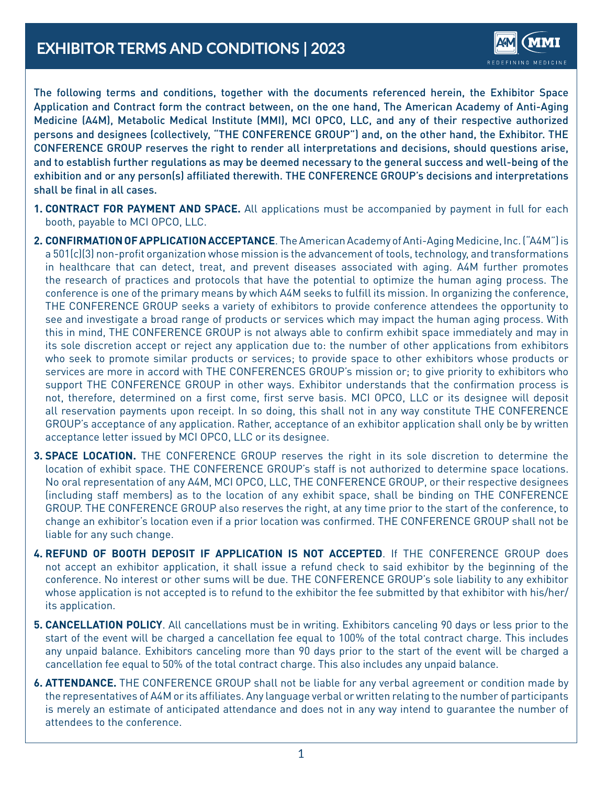

The following terms and conditions, together with the documents referenced herein, the Exhibitor Space Application and Contract form the contract between, on the one hand, The American Academy of Anti-Aging Medicine (A4M), Metabolic Medical Institute (MMI), MCI OPCO, LLC, and any of their respective authorized persons and designees (collectively, "THE CONFERENCE GROUP") and, on the other hand, the Exhibitor. THE CONFERENCE GROUP reserves the right to render all interpretations and decisions, should questions arise, and to establish further regulations as may be deemed necessary to the general success and well-being of the exhibition and or any person(s) affiliated therewith. THE CONFERENCE GROUP's decisions and interpretations shall be final in all cases.

- **1. CONTRACT FOR PAYMENT AND SPACE.** All applications must be accompanied by payment in full for each booth, payable to MCI OPCO, LLC.
- **2. CONFIRMATION OF APPLICATION ACCEPTANCE**. The American Academy of Anti-Aging Medicine, Inc. ("A4M") is a 501(c)(3) non-profit organization whose mission is the advancement of tools, technology, and transformations in healthcare that can detect, treat, and prevent diseases associated with aging. A4M further promotes the research of practices and protocols that have the potential to optimize the human aging process. The conference is one of the primary means by which A4M seeks to fulfill its mission. In organizing the conference, THE CONFERENCE GROUP seeks a variety of exhibitors to provide conference attendees the opportunity to see and investigate a broad range of products or services which may impact the human aging process. With this in mind, THE CONFERENCE GROUP is not always able to confirm exhibit space immediately and may in its sole discretion accept or reject any application due to: the number of other applications from exhibitors who seek to promote similar products or services; to provide space to other exhibitors whose products or services are more in accord with THE CONFERENCES GROUP's mission or; to give priority to exhibitors who support THE CONFERENCE GROUP in other ways. Exhibitor understands that the confirmation process is not, therefore, determined on a first come, first serve basis. MCI OPCO, LLC or its designee will deposit all reservation payments upon receipt. In so doing, this shall not in any way constitute THE CONFERENCE GROUP's acceptance of any application. Rather, acceptance of an exhibitor application shall only be by written acceptance letter issued by MCI OPCO, LLC or its designee.
- **3. SPACE LOCATION.** THE CONFERENCE GROUP reserves the right in its sole discretion to determine the location of exhibit space. THE CONFERENCE GROUP's staff is not authorized to determine space locations. No oral representation of any A4M, MCI OPCO, LLC, THE CONFERENCE GROUP, or their respective designees (including staff members) as to the location of any exhibit space, shall be binding on THE CONFERENCE GROUP. THE CONFERENCE GROUP also reserves the right, at any time prior to the start of the conference, to change an exhibitor's location even if a prior location was confirmed. THE CONFERENCE GROUP shall not be liable for any such change.
- **4. REFUND OF BOOTH DEPOSIT IF APPLICATION IS NOT ACCEPTED**. If THE CONFERENCE GROUP does not accept an exhibitor application, it shall issue a refund check to said exhibitor by the beginning of the conference. No interest or other sums will be due. THE CONFERENCE GROUP's sole liability to any exhibitor whose application is not accepted is to refund to the exhibitor the fee submitted by that exhibitor with his/her/ its application.
- **5. CANCELLATION POLICY**. All cancellations must be in writing. Exhibitors canceling 90 days or less prior to the start of the event will be charged a cancellation fee equal to 100% of the total contract charge. This includes any unpaid balance. Exhibitors canceling more than 90 days prior to the start of the event will be charged a cancellation fee equal to 50% of the total contract charge. This also includes any unpaid balance.
- **6. ATTENDANCE.** THE CONFERENCE GROUP shall not be liable for any verbal agreement or condition made by the representatives of A4M or its affiliates. Any language verbal or written relating to the number of participants is merely an estimate of anticipated attendance and does not in any way intend to guarantee the number of attendees to the conference.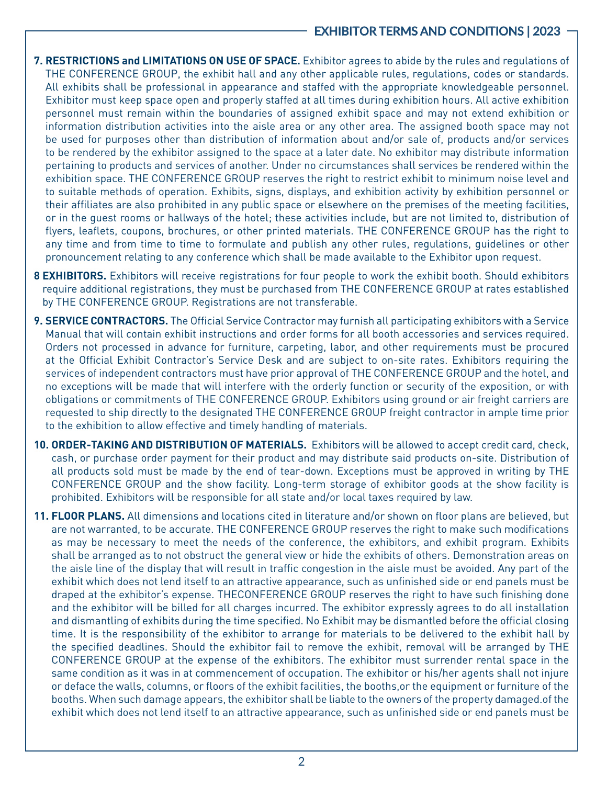- **7. RESTRICTIONS and LIMITATIONS ON USE OF SPACE.** Exhibitor agrees to abide by the rules and regulations of THE CONFERENCE GROUP, the exhibit hall and any other applicable rules, regulations, codes or standards. All exhibits shall be professional in appearance and staffed with the appropriate knowledgeable personnel. Exhibitor must keep space open and properly staffed at all times during exhibition hours. All active exhibition personnel must remain within the boundaries of assigned exhibit space and may not extend exhibition or information distribution activities into the aisle area or any other area. The assigned booth space may not be used for purposes other than distribution of information about and/or sale of, products and/or services to be rendered by the exhibitor assigned to the space at a later date. No exhibitor may distribute information pertaining to products and services of another. Under no circumstances shall services be rendered within the exhibition space. THE CONFERENCE GROUP reserves the right to restrict exhibit to minimum noise level and to suitable methods of operation. Exhibits, signs, displays, and exhibition activity by exhibition personnel or their affiliates are also prohibited in any public space or elsewhere on the premises of the meeting facilities, or in the guest rooms or hallways of the hotel; these activities include, but are not limited to, distribution of flyers, leaflets, coupons, brochures, or other printed materials. THE CONFERENCE GROUP has the right to any time and from time to time to formulate and publish any other rules, regulations, guidelines or other pronouncement relating to any conference which shall be made available to the Exhibitor upon request.
- **8 EXHIBITORS.** Exhibitors will receive registrations for four people to work the exhibit booth. Should exhibitors require additional registrations, they must be purchased from THE CONFERENCE GROUP at rates established by THE CONFERENCE GROUP. Registrations are not transferable.
- **9. SERVICE CONTRACTORS.** The Official Service Contractor may furnish all participating exhibitors with a Service Manual that will contain exhibit instructions and order forms for all booth accessories and services required. Orders not processed in advance for furniture, carpeting, labor, and other requirements must be procured at the Official Exhibit Contractor's Service Desk and are subject to on-site rates. Exhibitors requiring the services of independent contractors must have prior approval of THE CONFERENCE GROUP and the hotel, and no exceptions will be made that will interfere with the orderly function or security of the exposition, or with obligations or commitments of THE CONFERENCE GROUP. Exhibitors using ground or air freight carriers are requested to ship directly to the designated THE CONFERENCE GROUP freight contractor in ample time prior to the exhibition to allow effective and timely handling of materials.
- **10. ORDER-TAKING AND DISTRIBUTION OF MATERIALS.** Exhibitors will be allowed to accept credit card, check, cash, or purchase order payment for their product and may distribute said products on-site. Distribution of all products sold must be made by the end of tear-down. Exceptions must be approved in writing by THE CONFERENCE GROUP and the show facility. Long-term storage of exhibitor goods at the show facility is prohibited. Exhibitors will be responsible for all state and/or local taxes required by law.
- **11. FLOOR PLANS.** All dimensions and locations cited in literature and/or shown on floor plans are believed, but are not warranted, to be accurate. THE CONFERENCE GROUP reserves the right to make such modifications as may be necessary to meet the needs of the conference, the exhibitors, and exhibit program. Exhibits shall be arranged as to not obstruct the general view or hide the exhibits of others. Demonstration areas on the aisle line of the display that will result in traffic congestion in the aisle must be avoided. Any part of the exhibit which does not lend itself to an attractive appearance, such as unfinished side or end panels must be draped at the exhibitor's expense. THECONFERENCE GROUP reserves the right to have such finishing done and the exhibitor will be billed for all charges incurred. The exhibitor expressly agrees to do all installation and dismantling of exhibits during the time specified. No Exhibit may be dismantled before the official closing time. It is the responsibility of the exhibitor to arrange for materials to be delivered to the exhibit hall by the specified deadlines. Should the exhibitor fail to remove the exhibit, removal will be arranged by THE CONFERENCE GROUP at the expense of the exhibitors. The exhibitor must surrender rental space in the same condition as it was in at commencement of occupation. The exhibitor or his/her agents shall not injure or deface the walls, columns, or floors of the exhibit facilities, the booths,or the equipment or furniture of the booths. When such damage appears, the exhibitor shall be liable to the owners of the property damaged.of the exhibit which does not lend itself to an attractive appearance, such as unfinished side or end panels must be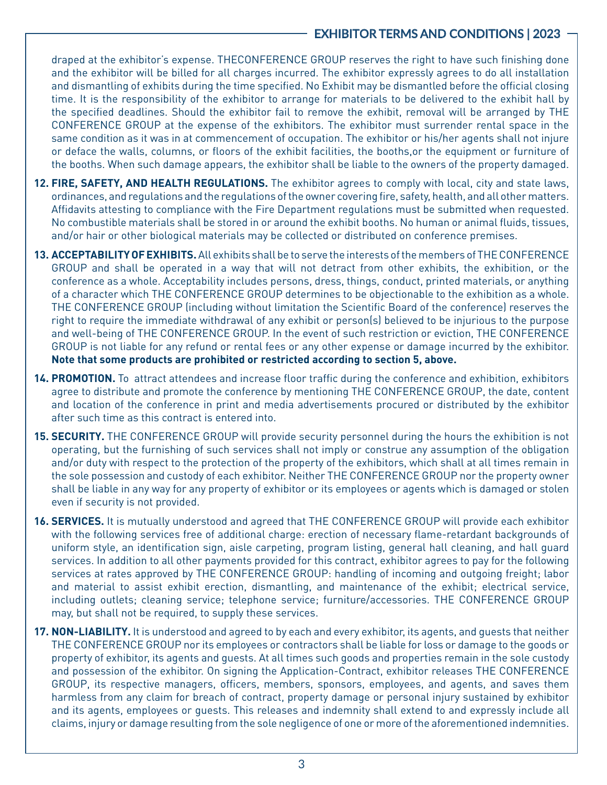draped at the exhibitor's expense. THECONFERENCE GROUP reserves the right to have such finishing done and the exhibitor will be billed for all charges incurred. The exhibitor expressly agrees to do all installation and dismantling of exhibits during the time specified. No Exhibit may be dismantled before the official closing time. It is the responsibility of the exhibitor to arrange for materials to be delivered to the exhibit hall by the specified deadlines. Should the exhibitor fail to remove the exhibit, removal will be arranged by THE CONFERENCE GROUP at the expense of the exhibitors. The exhibitor must surrender rental space in the same condition as it was in at commencement of occupation. The exhibitor or his/her agents shall not injure or deface the walls, columns, or floors of the exhibit facilities, the booths,or the equipment or furniture of the booths. When such damage appears, the exhibitor shall be liable to the owners of the property damaged.

- **12. FIRE, SAFETY, AND HEALTH REGULATIONS.** The exhibitor agrees to comply with local, city and state laws, ordinances, and regulations and the regulations of the owner covering fire, safety, health, and all other matters. Affidavits attesting to compliance with the Fire Department regulations must be submitted when requested. No combustible materials shall be stored in or around the exhibit booths. No human or animal fluids, tissues, and/or hair or other biological materials may be collected or distributed on conference premises.
- **13. ACCEPTABILITY OF EXHIBITS.** All exhibits shall be to serve the interests of the members of THE CONFERENCE GROUP and shall be operated in a way that will not detract from other exhibits, the exhibition, or the conference as a whole. Acceptability includes persons, dress, things, conduct, printed materials, or anything of a character which THE CONFERENCE GROUP determines to be objectionable to the exhibition as a whole. THE CONFERENCE GROUP (including without limitation the Scientific Board of the conference) reserves the right to require the immediate withdrawal of any exhibit or person(s) believed to be injurious to the purpose and well-being of THE CONFERENCE GROUP. In the event of such restriction or eviction, THE CONFERENCE GROUP is not liable for any refund or rental fees or any other expense or damage incurred by the exhibitor. **Note that some products are prohibited or restricted according to section 5, above.**
- **14. PROMOTION.** To attract attendees and increase floor traffic during the conference and exhibition, exhibitors agree to distribute and promote the conference by mentioning THE CONFERENCE GROUP, the date, content and location of the conference in print and media advertisements procured or distributed by the exhibitor after such time as this contract is entered into.
- **15. SECURITY.** THE CONFERENCE GROUP will provide security personnel during the hours the exhibition is not operating, but the furnishing of such services shall not imply or construe any assumption of the obligation and/or duty with respect to the protection of the property of the exhibitors, which shall at all times remain in the sole possession and custody of each exhibitor. Neither THE CONFERENCE GROUP nor the property owner shall be liable in any way for any property of exhibitor or its employees or agents which is damaged or stolen even if security is not provided.
- **16. SERVICES.** It is mutually understood and agreed that THE CONFERENCE GROUP will provide each exhibitor with the following services free of additional charge: erection of necessary flame-retardant backgrounds of uniform style, an identification sign, aisle carpeting, program listing, general hall cleaning, and hall guard services. In addition to all other payments provided for this contract, exhibitor agrees to pay for the following services at rates approved by THE CONFERENCE GROUP: handling of incoming and outgoing freight; labor and material to assist exhibit erection, dismantling, and maintenance of the exhibit; electrical service, including outlets; cleaning service; telephone service; furniture/accessories. THE CONFERENCE GROUP may, but shall not be required, to supply these services.
- **17. NON-LIABILITY.** It is understood and agreed to by each and every exhibitor, its agents, and guests that neither THE CONFERENCE GROUP nor its employees or contractors shall be liable for loss or damage to the goods or property of exhibitor, its agents and guests. At all times such goods and properties remain in the sole custody and possession of the exhibitor. On signing the Application-Contract, exhibitor releases THE CONFERENCE GROUP, its respective managers, officers, members, sponsors, employees, and agents, and saves them harmless from any claim for breach of contract, property damage or personal injury sustained by exhibitor and its agents, employees or guests. This releases and indemnity shall extend to and expressly include all claims, injury or damage resulting from the sole negligence of one or more of the aforementioned indemnities.